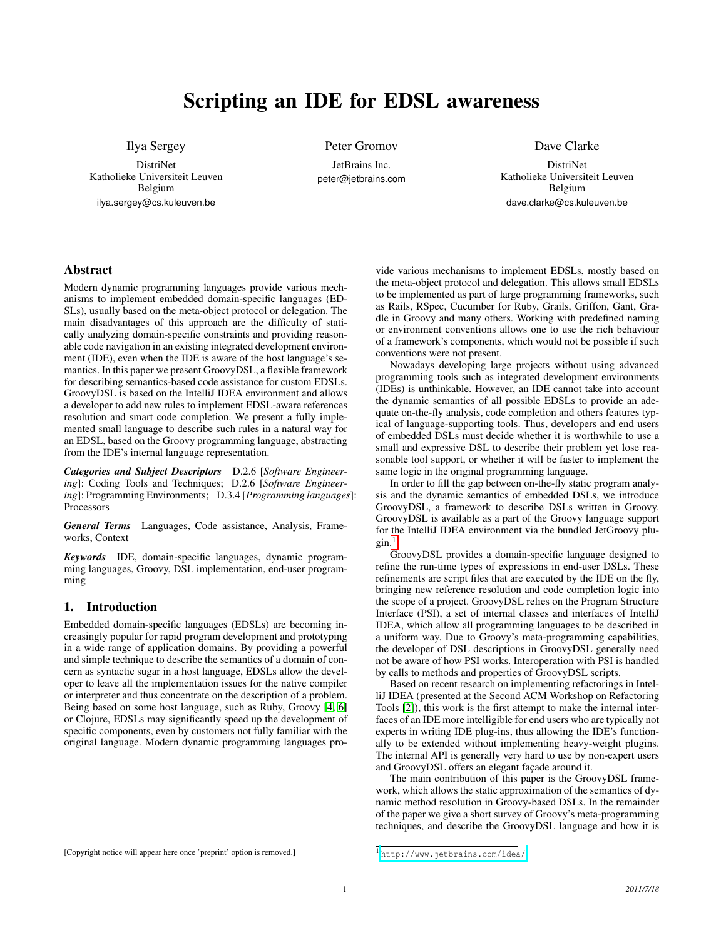# Scripting an IDE for EDSL awareness

Ilya Sergey

DistriNet Katholieke Universiteit Leuven Belgium ilya.sergey@cs.kuleuven.be

Peter Gromov

JetBrains Inc. peter@jetbrains.com Dave Clarke

DistriNet Katholieke Universiteit Leuven Belgium dave.clarke@cs.kuleuven.be

## Abstract

Modern dynamic programming languages provide various mechanisms to implement embedded domain-specific languages (ED-SLs), usually based on the meta-object protocol or delegation. The main disadvantages of this approach are the difficulty of statically analyzing domain-specific constraints and providing reasonable code navigation in an existing integrated development environment (IDE), even when the IDE is aware of the host language's semantics. In this paper we present GroovyDSL, a flexible framework for describing semantics-based code assistance for custom EDSLs. GroovyDSL is based on the IntelliJ IDEA environment and allows a developer to add new rules to implement EDSL-aware references resolution and smart code completion. We present a fully implemented small language to describe such rules in a natural way for an EDSL, based on the Groovy programming language, abstracting from the IDE's internal language representation.

*Categories and Subject Descriptors* D.2.6 [*Software Engineering*]: Coding Tools and Techniques; D.2.6 [*Software Engineering*]: Programming Environments; D.3.4 [*Programming languages*]: Processors

*General Terms* Languages, Code assistance, Analysis, Frameworks, Context

*Keywords* IDE, domain-specific languages, dynamic programming languages, Groovy, DSL implementation, end-user programming

## 1. Introduction

Embedded domain-specific languages (EDSLs) are becoming increasingly popular for rapid program development and prototyping in a wide range of application domains. By providing a powerful and simple technique to describe the semantics of a domain of concern as syntactic sugar in a host language, EDSLs allow the developer to leave all the implementation issues for the native compiler or interpreter and thus concentrate on the description of a problem. Being based on some host language, such as Ruby, Groovy [\[4,](#page-3-0) [6\]](#page-3-1) or Clojure, EDSLs may significantly speed up the development of specific components, even by customers not fully familiar with the original language. Modern dynamic programming languages pro-

vide various mechanisms to implement EDSLs, mostly based on the meta-object protocol and delegation. This allows small EDSLs to be implemented as part of large programming frameworks, such as Rails, RSpec, Cucumber for Ruby, Grails, Griffon, Gant, Gradle in Groovy and many others. Working with predefined naming or environment conventions allows one to use the rich behaviour of a framework's components, which would not be possible if such conventions were not present.

Nowadays developing large projects without using advanced programming tools such as integrated development environments (IDEs) is unthinkable. However, an IDE cannot take into account the dynamic semantics of all possible EDSLs to provide an adequate on-the-fly analysis, code completion and others features typical of language-supporting tools. Thus, developers and end users of embedded DSLs must decide whether it is worthwhile to use a small and expressive DSL to describe their problem yet lose reasonable tool support, or whether it will be faster to implement the same logic in the original programming language.

In order to fill the gap between on-the-fly static program analysis and the dynamic semantics of embedded DSLs, we introduce GroovyDSL, a framework to describe DSLs written in Groovy. GroovyDSL is available as a part of the Groovy language support for the IntelliJ IDEA environment via the bundled JetGroovy plu- $\sin^{-1}$  $\sin^{-1}$  $\sin^{-1}$ 

GroovyDSL provides a domain-specific language designed to refine the run-time types of expressions in end-user DSLs. These refinements are script files that are executed by the IDE on the fly, bringing new reference resolution and code completion logic into the scope of a project. GroovyDSL relies on the Program Structure Interface (PSI), a set of internal classes and interfaces of IntelliJ IDEA, which allow all programming languages to be described in a uniform way. Due to Groovy's meta-programming capabilities, the developer of DSL descriptions in GroovyDSL generally need not be aware of how PSI works. Interoperation with PSI is handled by calls to methods and properties of GroovyDSL scripts.

Based on recent research on implementing refactorings in IntelliJ IDEA (presented at the Second ACM Workshop on Refactoring Tools [\[2\]](#page-3-2)), this work is the first attempt to make the internal interfaces of an IDE more intelligible for end users who are typically not experts in writing IDE plug-ins, thus allowing the IDE's functionally to be extended without implementing heavy-weight plugins. The internal API is generally very hard to use by non-expert users and GroovyDSL offers an elegant façade around it.

The main contribution of this paper is the GroovyDSL framework, which allows the static approximation of the semantics of dynamic method resolution in Groovy-based DSLs. In the remainder of the paper we give a short survey of Groovy's meta-programming techniques, and describe the GroovyDSL language and how it is

<sup>[</sup>Copyright notice will appear here once 'preprint' option is removed.]

<span id="page-0-0"></span><sup>1</sup> <http://www.jetbrains.com/idea/>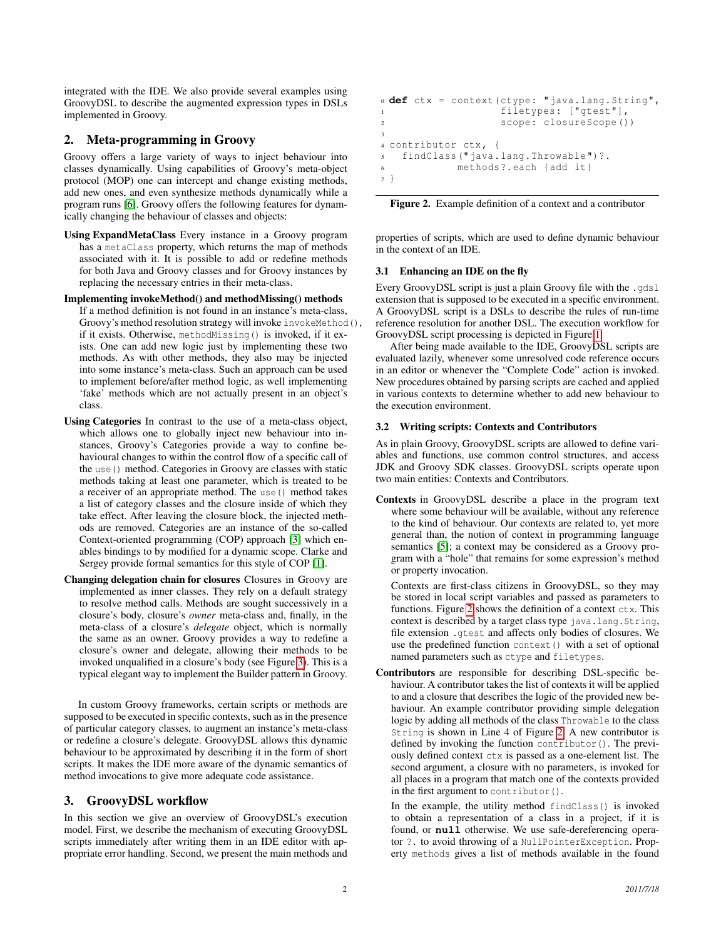integrated with the IDE. We also provide several examples using GroovyDSL to describe the augmented expression types in DSLs implemented in Groovy.

## <span id="page-1-1"></span>2. Meta-programming in Groovy

Groovy offers a large variety of ways to inject behaviour into classes dynamically. Using capabilities of Groovy's meta-object protocol (MOP) one can intercept and change existing methods, add new ones, and even synthesize methods dynamically while a program runs [\[6\]](#page-3-1). Groovy offers the following features for dynamically changing the behaviour of classes and objects:

- Using ExpandMetaClass Every instance in a Groovy program has a metaClass property, which returns the map of methods associated with it. It is possible to add or redefine methods for both Java and Groovy classes and for Groovy instances by replacing the necessary entries in their meta-class.
- Implementing invokeMethod() and methodMissing() methods

If a method definition is not found in an instance's meta-class, Groovy's method resolution strategy will invoke invokeMethod(), if it exists. Otherwise, methodMissing() is invoked, if it exists. One can add new logic just by implementing these two methods. As with other methods, they also may be injected into some instance's meta-class. Such an approach can be used to implement before/after method logic, as well implementing 'fake' methods which are not actually present in an object's class.

- Using Categories In contrast to the use of a meta-class object, which allows one to globally inject new behaviour into instances, Groovy's Categories provide a way to confine behavioural changes to within the control flow of a specific call of the use() method. Categories in Groovy are classes with static methods taking at least one parameter, which is treated to be a receiver of an appropriate method. The use() method takes a list of category classes and the closure inside of which they take effect. After leaving the closure block, the injected methods are removed. Categories are an instance of the so-called Context-oriented programming (COP) approach [\[3\]](#page-3-3) which enables bindings to by modified for a dynamic scope. Clarke and Sergey provide formal semantics for this style of COP [\[1\]](#page-3-4).
- Changing delegation chain for closures Closures in Groovy are implemented as inner classes. They rely on a default strategy to resolve method calls. Methods are sought successively in a closure's body, closure's *owner* meta-class and, finally, in the meta-class of a closure's *delegate* object, which is normally the same as an owner. Groovy provides a way to redefine a closure's owner and delegate, allowing their methods to be invoked unqualified in a closure's body (see Figure [3\)](#page-2-0). This is a typical elegant way to implement the Builder pattern in Groovy.

In custom Groovy frameworks, certain scripts or methods are supposed to be executed in specific contexts, such as in the presence of particular category classes, to augment an instance's meta-class or redefine a closure's delegate. GroovyDSL allows this dynamic behaviour to be approximated by describing it in the form of short scripts. It makes the IDE more aware of the dynamic semantics of method invocations to give more adequate code assistance.

# 3. GroovyDSL workflow

In this section we give an overview of GroovyDSL's execution model. First, we describe the mechanism of executing GroovyDSL scripts immediately after writing them in an IDE editor with appropriate error handling. Second, we present the main methods and

```
0 def ctx = context(ctype: "java.lang.String",
                  filetypes: ["gtest"],
2 scope: closureScope ())
3
4 contributor ctx, {
5 findClass (" java.lang.Throwable ")?.
6 methods ?. each {add it}
7 }
```
<span id="page-1-0"></span>Figure 2. Example definition of a context and a contributor

properties of scripts, which are used to define dynamic behaviour in the context of an IDE.

## 3.1 Enhancing an IDE on the fly

Every GroovyDSL script is just a plain Groovy file with the .gdsl extension that is supposed to be executed in a specific environment. A GroovyDSL script is a DSLs to describe the rules of run-time reference resolution for another DSL. The execution workflow for GroovyDSL script processing is depicted in Figure [1.](#page-2-1)

After being made available to the IDE, GroovyDSL scripts are evaluated lazily, whenever some unresolved code reference occurs in an editor or whenever the "Complete Code" action is invoked. New procedures obtained by parsing scripts are cached and applied in various contexts to determine whether to add new behaviour to the execution environment.

## 3.2 Writing scripts: Contexts and Contributors

As in plain Groovy, GroovyDSL scripts are allowed to define variables and functions, use common control structures, and access JDK and Groovy SDK classes. GroovyDSL scripts operate upon two main entities: Contexts and Contributors.

Contexts in GroovyDSL describe a place in the program text where some behaviour will be available, without any reference to the kind of behaviour. Our contexts are related to, yet more general than, the notion of context in programming language semantics [\[5\]](#page-3-5); a context may be considered as a Groovy program with a "hole" that remains for some expression's method or property invocation.

Contexts are first-class citizens in GroovyDSL, so they may be stored in local script variables and passed as parameters to functions. Figure [2](#page-1-0) shows the definition of a context ctx. This context is described by a target class type java.lang.String, file extension .gtest and affects only bodies of closures. We use the predefined function context () with a set of optional named parameters such as ctype and filetypes.

Contributors are responsible for describing DSL-specific behaviour. A contributor takes the list of contexts it will be applied to and a closure that describes the logic of the provided new behaviour. An example contributor providing simple delegation logic by adding all methods of the class Throwable to the class String is shown in Line 4 of Figure [2.](#page-1-0) A new contributor is defined by invoking the function contributor(). The previously defined context ctx is passed as a one-element list. The second argument, a closure with no parameters, is invoked for all places in a program that match one of the contexts provided in the first argument to contributor().

In the example, the utility method findClass() is invoked to obtain a representation of a class in a project, if it is found, or **null** otherwise. We use safe-dereferencing operator ?. to avoid throwing of a NullPointerException. Property methods gives a list of methods available in the found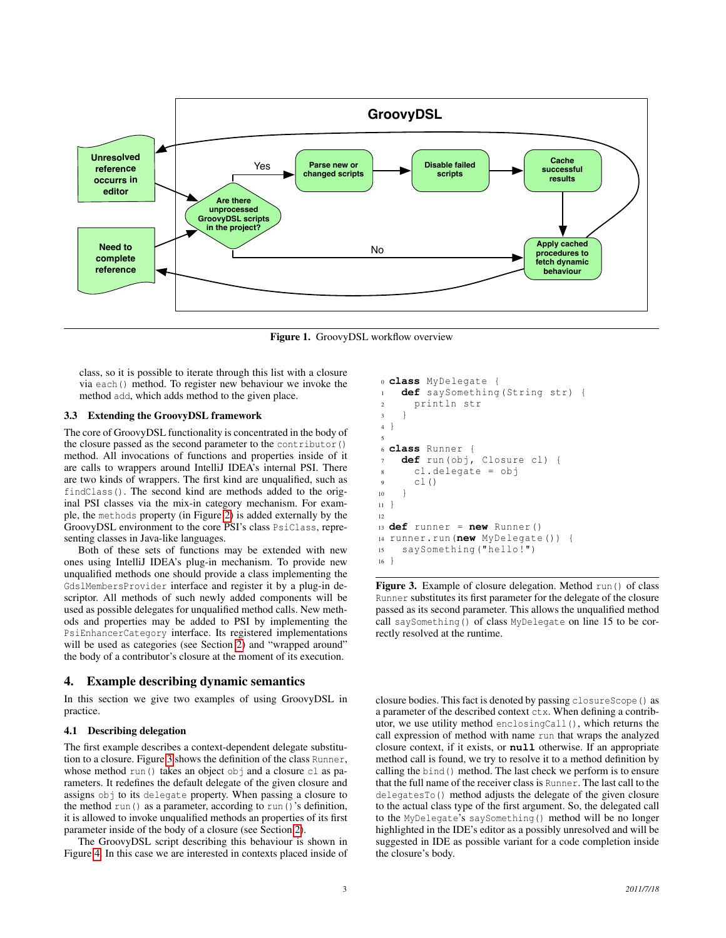

<span id="page-2-1"></span>Figure 1. GroovyDSL workflow overview

class, so it is possible to iterate through this list with a closure via each() method. To register new behaviour we invoke the method add, which adds method to the given place.

#### 3.3 Extending the GroovyDSL framework

The core of GroovyDSL functionality is concentrated in the body of the closure passed as the second parameter to the contributor() method. All invocations of functions and properties inside of it are calls to wrappers around IntelliJ IDEA's internal PSI. There are two kinds of wrappers. The first kind are unqualified, such as findClass(). The second kind are methods added to the original PSI classes via the mix-in category mechanism. For example, the methods property (in Figure [2\)](#page-1-0) is added externally by the GroovyDSL environment to the core PSI's class PsiClass, representing classes in Java-like languages.

Both of these sets of functions may be extended with new ones using IntelliJ IDEA's plug-in mechanism. To provide new unqualified methods one should provide a class implementing the GdslMembersProvider interface and register it by a plug-in descriptor. All methods of such newly added components will be used as possible delegates for unqualified method calls. New methods and properties may be added to PSI by implementing the PsiEnhancerCategory interface. Its registered implementations will be used as categories (see Section [2\)](#page-1-1) and "wrapped around" the body of a contributor's closure at the moment of its execution.

#### 4. Example describing dynamic semantics

In this section we give two examples of using GroovyDSL in practice.

#### 4.1 Describing delegation

The first example describes a context-dependent delegate substitution to a closure. Figure [3](#page-2-0) shows the definition of the class Runner, whose method run() takes an object obj and a closure cl as parameters. It redefines the default delegate of the given closure and assigns obj to its delegate property. When passing a closure to the method run() as a parameter, according to run()'s definition, it is allowed to invoke unqualified methods an properties of its first parameter inside of the body of a closure (see Section [2\)](#page-1-1).

The GroovyDSL script describing this behaviour is shown in Figure [4.](#page-3-6) In this case we are interested in contexts placed inside of

```
0 class MyDelegate {
1 def saySomething(String str) {
      println str
    3 }
4 }
5
6 class Runner {
7 def run(obj, Closure cl) {
      cl.delegate = obj
9 cl()
10 }
11 }
12
13 def runner = new Runner ()
14 runner.run(new MyDelegate ()) {
15 saySomething (" hello !")
16 }
```
<span id="page-2-0"></span>Figure 3. Example of closure delegation. Method run() of class Runner substitutes its first parameter for the delegate of the closure passed as its second parameter. This allows the unqualified method call saySomething() of class MyDelegate on line 15 to be correctly resolved at the runtime.

closure bodies. This fact is denoted by passing closureScope() as a parameter of the described context ctx. When defining a contributor, we use utility method enclosingCall(), which returns the call expression of method with name run that wraps the analyzed closure context, if it exists, or **null** otherwise. If an appropriate method call is found, we try to resolve it to a method definition by calling the bind() method. The last check we perform is to ensure that the full name of the receiver class is Runner. The last call to the delegatesTo() method adjusts the delegate of the given closure to the actual class type of the first argument. So, the delegated call to the MyDelegate's saySomething() method will be no longer highlighted in the IDE's editor as a possibly unresolved and will be suggested in IDE as possible variant for a code completion inside the closure's body.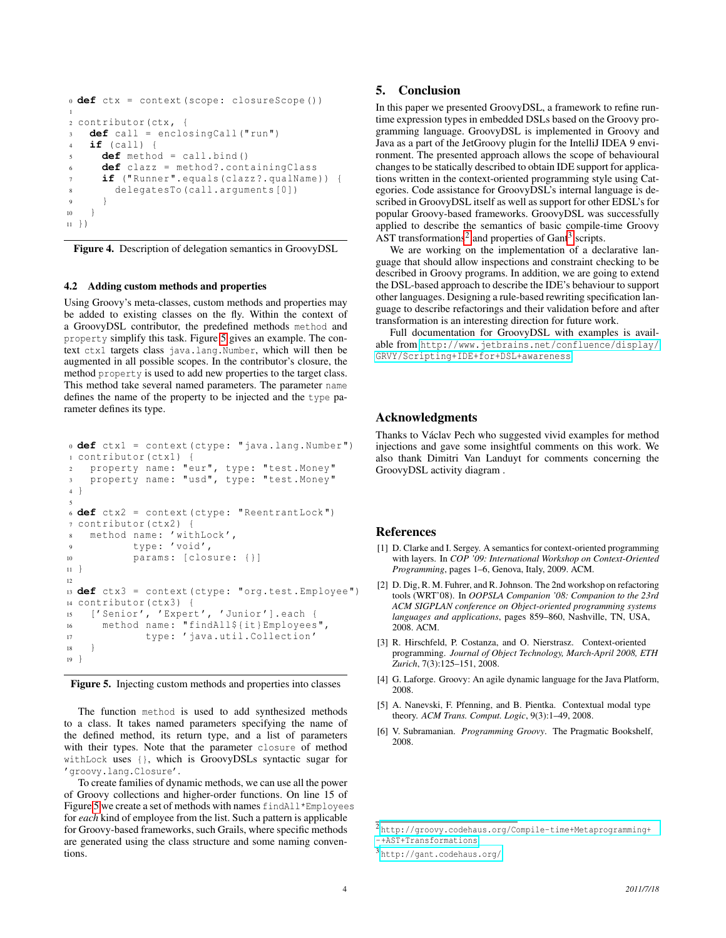```
0 def ctx = context(scope: closureScope ())
1
2 contributor(ctx , {
3 def call = enclosingCall ("run")
4 if (call) {
5 def method = call.bind ()
      def clazz = method?.containingClass
      if ("Runner". equals(clazz?. qualName)) {
        delegatesTo(call.arguments [0])
9 }
1011 })
```
<span id="page-3-6"></span>Figure 4. Description of delegation semantics in GroovyDSL

#### 4.2 Adding custom methods and properties

Using Groovy's meta-classes, custom methods and properties may be added to existing classes on the fly. Within the context of a GroovyDSL contributor, the predefined methods method and property simplify this task. Figure [5](#page-3-7) gives an example. The context ctx1 targets class java.lang.Number, which will then be augmented in all possible scopes. In the contributor's closure, the method property is used to add new properties to the target class. This method take several named parameters. The parameter name defines the name of the property to be injected and the type parameter defines its type.

```
0 def ctx1 = context(ctype: "java.lang.Number ")
1 contributor(ctx1) {
2 property name: "eur", type: "test.Money"
3 property name: "usd", type: "test.Money"
4 }
5
6 def ctx2 = context(ctype: "ReentrantLock ")
7 contributor(ctx2) {
8 method name: 'withLock ',
9 type: 'void ',
10 params: [closure: {}]
11 }
12
13 def ctx3 = context(ctype: "org.test.Employee ")
14 contributor(ctx3) {
15 ['Senior ', 'Expert ', 'Junior ']. each {
16 method name: "findAll${it}Employees",
17 type: 'java.util.Collection '
18 }
19 }
```
<span id="page-3-7"></span>Figure 5. Injecting custom methods and properties into classes

The function method is used to add synthesized methods to a class. It takes named parameters specifying the name of the defined method, its return type, and a list of parameters with their types. Note that the parameter closure of method withLock uses {}, which is GroovyDSLs syntactic sugar for 'groovy.lang.Closure'.

To create families of dynamic methods, we can use all the power of Groovy collections and higher-order functions. On line 15 of Figure [5](#page-3-7) we create a set of methods with names findAll\*Employees for *each* kind of employee from the list. Such a pattern is applicable for Groovy-based frameworks, such Grails, where specific methods are generated using the class structure and some naming conventions.

# 5. Conclusion

In this paper we presented GroovyDSL, a framework to refine runtime expression types in embedded DSLs based on the Groovy programming language. GroovyDSL is implemented in Groovy and Java as a part of the JetGroovy plugin for the IntelliJ IDEA 9 environment. The presented approach allows the scope of behavioural changes to be statically described to obtain IDE support for applications written in the context-oriented programming style using Categories. Code assistance for GroovyDSL's internal language is described in GroovyDSL itself as well as support for other EDSL's for popular Groovy-based frameworks. GroovyDSL was successfully applied to describe the semantics of basic compile-time Groovy AST transformations<sup>[2](#page-3-8)</sup> and properties of Gant<sup>[3](#page-3-9)</sup> scripts.

We are working on the implementation of a declarative language that should allow inspections and constraint checking to be described in Groovy programs. In addition, we are going to extend the DSL-based approach to describe the IDE's behaviour to support other languages. Designing a rule-based rewriting specification language to describe refactorings and their validation before and after transformation is an interesting direction for future work.

Full documentation for GroovyDSL with examples is available from [http://www.jetbrains.net/confluence/display/](http://www.jetbrains.net/confluence/display/GRVY/Scripting+IDE+for+DSL+awareness) [GRVY/Scripting+IDE+for+DSL+awareness](http://www.jetbrains.net/confluence/display/GRVY/Scripting+IDE+for+DSL+awareness).

## Acknowledgments

Thanks to Václav Pech who suggested vivid examples for method injections and gave some insightful comments on this work. We also thank Dimitri Van Landuyt for comments concerning the GroovyDSL activity diagram .

## References

- <span id="page-3-4"></span>[1] D. Clarke and I. Sergey. A semantics for context-oriented programming with layers. In *COP '09: International Workshop on Context-Oriented Programming*, pages 1–6, Genova, Italy, 2009. ACM.
- <span id="page-3-2"></span>[2] D. Dig, R. M. Fuhrer, and R. Johnson. The 2nd workshop on refactoring tools (WRT'08). In *OOPSLA Companion '08: Companion to the 23rd ACM SIGPLAN conference on Object-oriented programming systems languages and applications*, pages 859–860, Nashville, TN, USA, 2008. ACM.
- <span id="page-3-3"></span>[3] R. Hirschfeld, P. Costanza, and O. Nierstrasz. Context-oriented programming. *Journal of Object Technology, March-April 2008, ETH Zurich*, 7(3):125–151, 2008.
- <span id="page-3-0"></span>[4] G. Laforge. Groovy: An agile dynamic language for the Java Platform, 2008.
- <span id="page-3-5"></span>[5] A. Nanevski, F. Pfenning, and B. Pientka. Contextual modal type theory. *ACM Trans. Comput. Logic*, 9(3):1–49, 2008.
- <span id="page-3-1"></span>[6] V. Subramanian. *Programming Groovy*. The Pragmatic Bookshelf, 2008.

<span id="page-3-8"></span><sup>2</sup> [http://groovy.codehaus.org/Compile-time+Metaprogramming+](http://groovy.codehaus.org/Compile-time+Metaprogramming+-+AST+Transformations) [-+AST+Transformations](http://groovy.codehaus.org/Compile-time+Metaprogramming+-+AST+Transformations)

<span id="page-3-9"></span><sup>3</sup> <http://gant.codehaus.org/>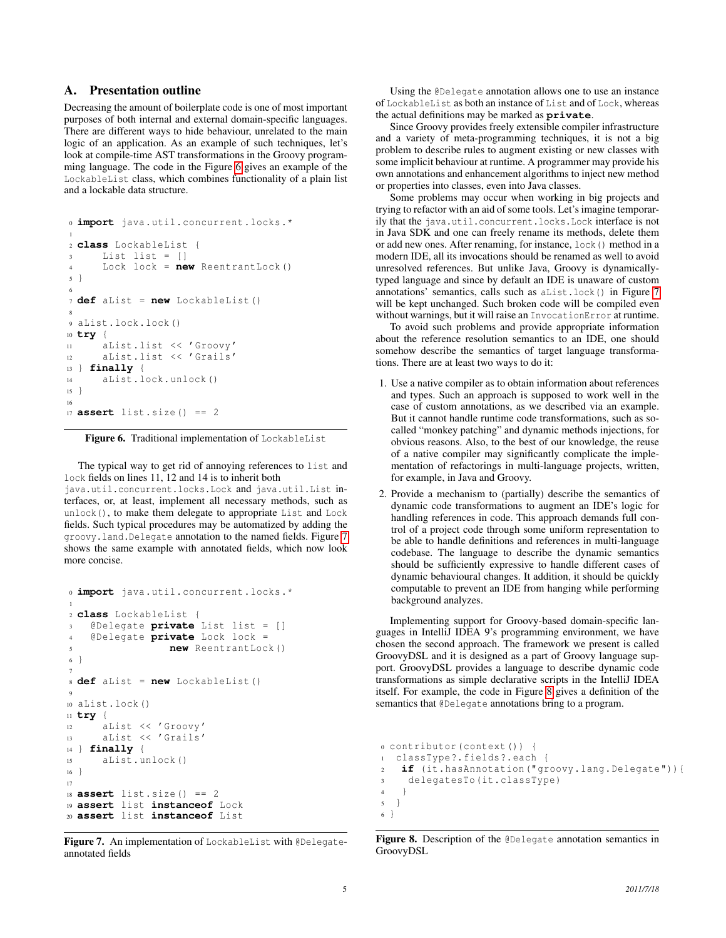## A. Presentation outline

Decreasing the amount of boilerplate code is one of most important purposes of both internal and external domain-specific languages. There are different ways to hide behaviour, unrelated to the main logic of an application. As an example of such techniques, let's look at compile-time AST transformations in the Groovy programming language. The code in the Figure [6](#page-4-0) gives an example of the LockableList class, which combines functionality of a plain list and a lockable data structure.

```
0 import java.util.concurrent.locks .*
1
2 class LockableList {
3 List list = []
4 Lock lock = new ReentrantLock ()
5 }
6
7 def aList = new LockableList ()
8
9 aList.lock.lock ()
10 try {
11 aList.list << 'Groovy '
12 aList.list << 'Grails '
13 } finally {
14 aList.lock.unlock ()
15 }
16
17 assert list.size () == 2
```
<span id="page-4-0"></span>Figure 6. Traditional implementation of LockableList

The typical way to get rid of annoying references to list and lock fields on lines 11, 12 and 14 is to inherit both

java.util.concurrent.locks.Lock and java.util.List interfaces, or, at least, implement all necessary methods, such as unlock(), to make them delegate to appropriate List and Lock fields. Such typical procedures may be automatized by adding the groovy.land.Delegate annotation to the named fields. Figure [7](#page-4-1) shows the same example with annotated fields, which now look more concise.

```
0 import java.util.concurrent.locks .*
1
2 class LockableList {
3 @Delegate private List list = []
4 @Delegate private Lock lock =
5 new ReentrantLock ()
6 }
7
8 def aList = new LockableList ()
9
10 aList.lock ()
11 try {
12 aList << 'Groovy '
13 aList << 'Grails '
14 } finally {
15 aList.unlock ()
16 }
17
18 assert list.size () == 2
19 assert list instanceof Lock
20 assert list instanceof List
```
<span id="page-4-1"></span>Figure 7. An implementation of LockableList with @Delegateannotated fields

Using the @Delegate annotation allows one to use an instance of LockableList as both an instance of List and of Lock, whereas the actual definitions may be marked as **private**.

Since Groovy provides freely extensible compiler infrastructure and a variety of meta-programming techniques, it is not a big problem to describe rules to augment existing or new classes with some implicit behaviour at runtime. A programmer may provide his own annotations and enhancement algorithms to inject new method or properties into classes, even into Java classes.

Some problems may occur when working in big projects and trying to refactor with an aid of some tools. Let's imagine temporarily that the java.util.concurrent.locks.Lock interface is not in Java SDK and one can freely rename its methods, delete them or add new ones. After renaming, for instance, lock() method in a modern IDE, all its invocations should be renamed as well to avoid unresolved references. But unlike Java, Groovy is dynamicallytyped language and since by default an IDE is unaware of custom annotations' semantics, calls such as aList.lock() in Figure [7](#page-4-1) will be kept unchanged. Such broken code will be compiled even without warnings, but it will raise an InvocationError at runtime.

To avoid such problems and provide appropriate information about the reference resolution semantics to an IDE, one should somehow describe the semantics of target language transformations. There are at least two ways to do it:

- 1. Use a native compiler as to obtain information about references and types. Such an approach is supposed to work well in the case of custom annotations, as we described via an example. But it cannot handle runtime code transformations, such as socalled "monkey patching" and dynamic methods injections, for obvious reasons. Also, to the best of our knowledge, the reuse of a native compiler may significantly complicate the implementation of refactorings in multi-language projects, written, for example, in Java and Groovy.
- 2. Provide a mechanism to (partially) describe the semantics of dynamic code transformations to augment an IDE's logic for handling references in code. This approach demands full control of a project code through some uniform representation to be able to handle definitions and references in multi-language codebase. The language to describe the dynamic semantics should be sufficiently expressive to handle different cases of dynamic behavioural changes. It addition, it should be quickly computable to prevent an IDE from hanging while performing background analyzes.

Implementing support for Groovy-based domain-specific languages in IntelliJ IDEA 9's programming environment, we have chosen the second approach. The framework we present is called GroovyDSL and it is designed as a part of Groovy language support. GroovyDSL provides a language to describe dynamic code transformations as simple declarative scripts in the IntelliJ IDEA itself. For example, the code in Figure [8](#page-4-2) gives a definition of the semantics that @Delegate annotations bring to a program.

```
0 contributor(context ()) {
1 classType ?. fields ?. each {
2 if (it.hasAnnotation (" groovy.lang.Delegate ")){
3 delegatesTo(it.classType)
4 }
5 }
6 }
```
<span id="page-4-2"></span>Figure 8. Description of the @Delegate annotation semantics in GroovyDSL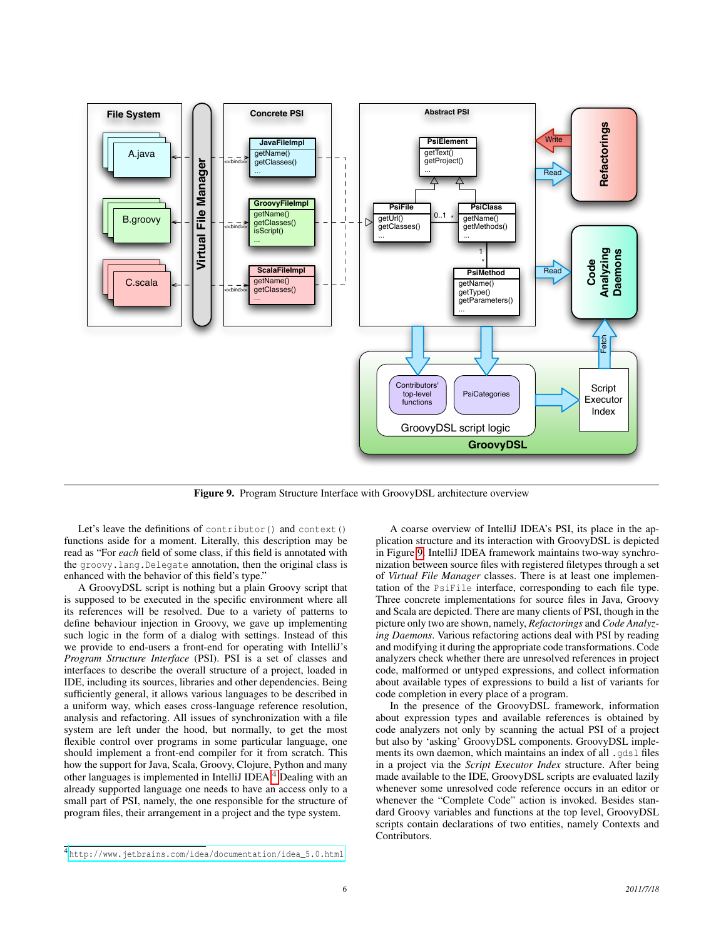

<span id="page-5-1"></span>Figure 9. Program Structure Interface with GroovyDSL architecture overview

Let's leave the definitions of contributor() and context() functions aside for a moment. Literally, this description may be read as "For *each* field of some class, if this field is annotated with the groovy.lang.Delegate annotation, then the original class is enhanced with the behavior of this field's type."

A GroovyDSL script is nothing but a plain Groovy script that is supposed to be executed in the specific environment where all its references will be resolved. Due to a variety of patterns to define behaviour injection in Groovy, we gave up implementing such logic in the form of a dialog with settings. Instead of this we provide to end-users a front-end for operating with IntelliJ's *Program Structure Interface* (PSI). PSI is a set of classes and interfaces to describe the overall structure of a project, loaded in IDE, including its sources, libraries and other dependencies. Being sufficiently general, it allows various languages to be described in a uniform way, which eases cross-language reference resolution, analysis and refactoring. All issues of synchronization with a file system are left under the hood, but normally, to get the most flexible control over programs in some particular language, one should implement a front-end compiler for it from scratch. This how the support for Java, Scala, Groovy, Clojure, Python and many other languages is implemented in IntelliJ IDEA.[4](#page-5-0) Dealing with an already supported language one needs to have an access only to a small part of PSI, namely, the one responsible for the structure of program files, their arrangement in a project and the type system.

A coarse overview of IntelliJ IDEA's PSI, its place in the application structure and its interaction with GroovyDSL is depicted in Figure [9.](#page-5-1) IntelliJ IDEA framework maintains two-way synchronization between source files with registered filetypes through a set of *Virtual File Manager* classes. There is at least one implementation of the PsiFile interface, corresponding to each file type. Three concrete implementations for source files in Java, Groovy and Scala are depicted. There are many clients of PSI, though in the picture only two are shown, namely, *Refactorings* and *Code Analyzing Daemons*. Various refactoring actions deal with PSI by reading and modifying it during the appropriate code transformations. Code analyzers check whether there are unresolved references in project code, malformed or untyped expressions, and collect information about available types of expressions to build a list of variants for code completion in every place of a program.

In the presence of the GroovyDSL framework, information about expression types and available references is obtained by code analyzers not only by scanning the actual PSI of a project but also by 'asking' GroovyDSL components. GroovyDSL implements its own daemon, which maintains an index of all .gdsl files in a project via the *Script Executor Index* structure. After being made available to the IDE, GroovyDSL scripts are evaluated lazily whenever some unresolved code reference occurs in an editor or whenever the "Complete Code" action is invoked. Besides standard Groovy variables and functions at the top level, GroovyDSL scripts contain declarations of two entities, namely Contexts and Contributors.

<span id="page-5-0"></span><sup>4</sup> [http://www.jetbrains.com/idea/documentation/idea\\_5.0.html](http://www.jetbrains.com/idea/documentation/idea_5.0.html)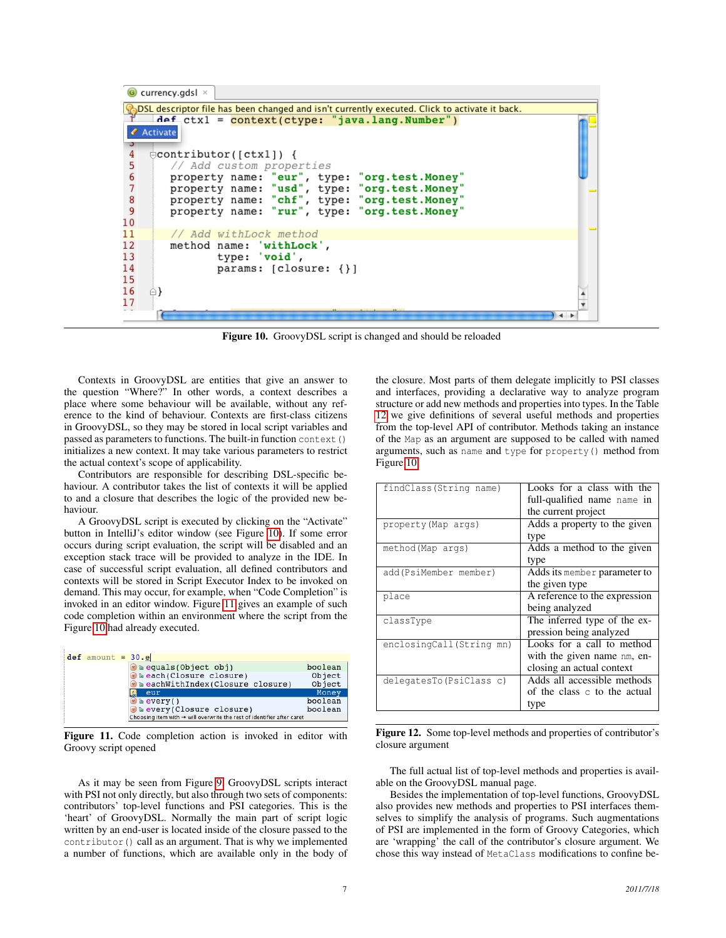| $\bigcirc$ currency.gdsl $\times$                                                                       |  |
|---------------------------------------------------------------------------------------------------------|--|
| $\lambda$ DSL descriptor file has been changed and isn't currently executed. Click to activate it back. |  |
| $Aef_{ctx1} = context(ctype: 'java.lang.Number')$                                                       |  |
| <b><i>Activate</i></b>                                                                                  |  |
|                                                                                                         |  |
| $\exists$ contributor([ctx1]) {                                                                         |  |
| // Add custom properties                                                                                |  |
| property name: "eur", type: "org.test.Money"                                                            |  |
| property name: "usd", type: "org.test.Money"                                                            |  |
| 4567890<br>property name: "chf", type: "org.test.Money"<br>property name: "rur", type: "org.test.Money" |  |
|                                                                                                         |  |
| 11<br>// Add withLock method                                                                            |  |
| 12<br>method name: 'withLock',                                                                          |  |
| 13<br>type: 'void',                                                                                     |  |
| 14<br>params: $[closure: {} {\})$                                                                       |  |
| 15                                                                                                      |  |
| 16                                                                                                      |  |
| 17                                                                                                      |  |
|                                                                                                         |  |

<span id="page-6-0"></span>Figure 10. GroovyDSL script is changed and should be reloaded

Contexts in GroovyDSL are entities that give an answer to the question "Where?" In other words, a context describes a place where some behaviour will be available, without any reference to the kind of behaviour. Contexts are first-class citizens in GroovyDSL, so they may be stored in local script variables and passed as parameters to functions. The built-in function context() initializes a new context. It may take various parameters to restrict the actual context's scope of applicability.

Contributors are responsible for describing DSL-specific behaviour. A contributor takes the list of contexts it will be applied to and a closure that describes the logic of the provided new behaviour.

A GroovyDSL script is executed by clicking on the "Activate" button in IntelliJ's editor window (see Figure [10\)](#page-6-0). If some error occurs during script evaluation, the script will be disabled and an exception stack trace will be provided to analyze in the IDE. In case of successful script evaluation, all defined contributors and contexts will be stored in Script Executor Index to be invoked on demand. This may occur, for example, when "Code Completion" is invoked in an editor window. Figure [11](#page-6-1) gives an example of such code completion within an environment where the script from the Figure [10](#page-6-0) had already executed.

| $def$ amount = $30 \cdot e$                                                        |  |                                  |         |  |  |
|------------------------------------------------------------------------------------|--|----------------------------------|---------|--|--|
|                                                                                    |  | m a equals (Object obj)          | boolean |  |  |
|                                                                                    |  | m'a each(Closure closure)        | Object  |  |  |
|                                                                                    |  | a eachWithIndex(Closure closure) | Object  |  |  |
|                                                                                    |  | eur                              | Money   |  |  |
|                                                                                    |  | $m$ a every ()                   | boolean |  |  |
|                                                                                    |  | m'a every (Closure closure)      | boolean |  |  |
| Choosing item with $\rightarrow$ will overwrite the rest of identifier after caret |  |                                  |         |  |  |

<span id="page-6-1"></span>Figure 11. Code completion action is invoked in editor with Groovy script opened

As it may be seen from Figure [9,](#page-5-1) GroovyDSL scripts interact with PSI not only directly, but also through two sets of components: contributors' top-level functions and PSI categories. This is the 'heart' of GroovyDSL. Normally the main part of script logic written by an end-user is located inside of the closure passed to the contributor() call as an argument. That is why we implemented a number of functions, which are available only in the body of the closure. Most parts of them delegate implicitly to PSI classes and interfaces, providing a declarative way to analyze program structure or add new methods and properties into types. In the Table [12](#page-6-2) we give definitions of several useful methods and properties from the top-level API of contributor. Methods taking an instance of the Map as an argument are supposed to be called with named arguments, such as name and type for property() method from Figure [10.](#page-6-0)

| findClass(String name)   | Looks for a class with the    |
|--------------------------|-------------------------------|
|                          | full-qualified name name in   |
|                          | the current project           |
| property (Map args)      | Adds a property to the given  |
|                          | type                          |
| method (Map args)        | Adds a method to the given    |
|                          | type                          |
| add(PsiMember member)    | Adds its member parameter to  |
|                          | the given type                |
| place                    | A reference to the expression |
|                          | being analyzed                |
| classType                | The inferred type of the ex-  |
|                          | pression being analyzed       |
| enclosingCall(String mn) | Looks for a call to method    |
|                          | with the given name nm, en-   |
|                          | closing an actual context     |
| delegatesTo (PsiClass c) | Adds all accessible methods   |
|                          | of the class c to the actual  |
|                          | type                          |

<span id="page-6-2"></span>

|                  | <b>Figure 12.</b> Some top-level methods and properties of contributor's |  |  |
|------------------|--------------------------------------------------------------------------|--|--|
| closure argument |                                                                          |  |  |

The full actual list of top-level methods and properties is available on the GroovyDSL manual page.

Besides the implementation of top-level functions, GroovyDSL also provides new methods and properties to PSI interfaces themselves to simplify the analysis of programs. Such augmentations of PSI are implemented in the form of Groovy Categories, which are 'wrapping' the call of the contributor's closure argument. We chose this way instead of MetaClass modifications to confine be-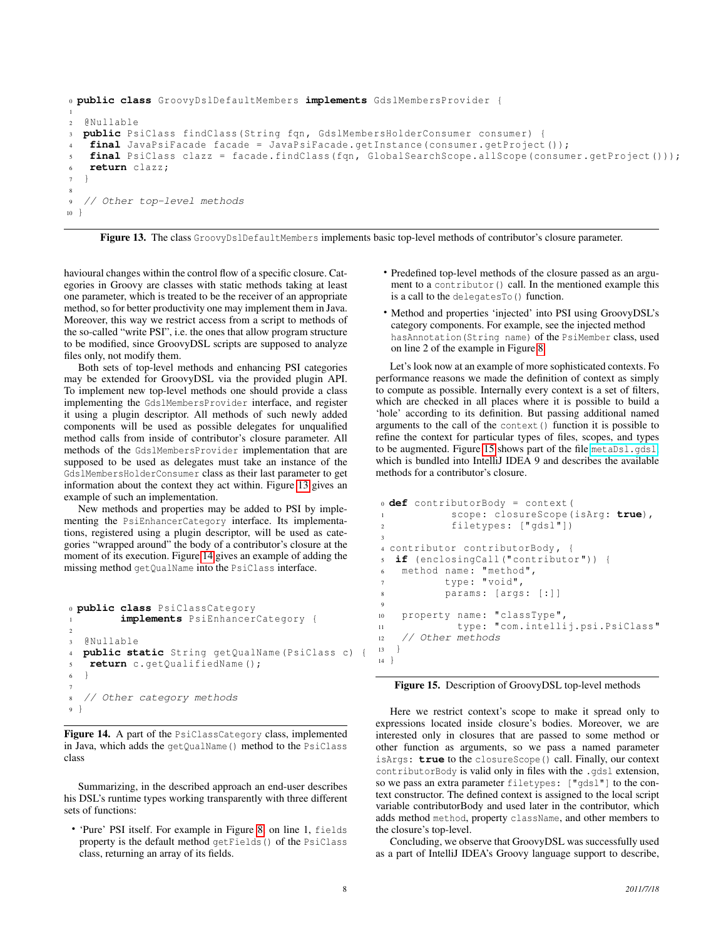```
0 public class GroovyDslDefaultMembers implements GdslMembersProvider {
1
2 @Nullable
  public PsiClass findClass(String fqn, GdslMembersHolderConsumer consumer) {
4 final JavaPsiFacade facade = JavaPsiFacade.getInstance(consumer.getProject ());
   final PsiClass clazz = facade.findClass(fqn, GlobalSearchScope.allScope(consumer.getProject()));
6 return clazz;
7 }
8
9 // Other top-level methods
10 }
```
<span id="page-7-0"></span>Figure 13. The class GroovyDslDefaultMembers implements basic top-level methods of contributor's closure parameter.

havioural changes within the control flow of a specific closure. Categories in Groovy are classes with static methods taking at least one parameter, which is treated to be the receiver of an appropriate method, so for better productivity one may implement them in Java. Moreover, this way we restrict access from a script to methods of the so-called "write PSI", i.e. the ones that allow program structure to be modified, since GroovyDSL scripts are supposed to analyze files only, not modify them.

Both sets of top-level methods and enhancing PSI categories may be extended for GroovyDSL via the provided plugin API. To implement new top-level methods one should provide a class implementing the GdslMembersProvider interface, and register it using a plugin descriptor. All methods of such newly added components will be used as possible delegates for unqualified method calls from inside of contributor's closure parameter. All methods of the GdslMembersProvider implementation that are supposed to be used as delegates must take an instance of the GdslMembersHolderConsumer class as their last parameter to get information about the context they act within. Figure [13](#page-7-0) gives an example of such an implementation.

New methods and properties may be added to PSI by implementing the PsiEnhancerCategory interface. Its implementations, registered using a plugin descriptor, will be used as categories "wrapped around" the body of a contributor's closure at the moment of its execution. Figure [14](#page-7-1) gives an example of adding the missing method getQualName into the PsiClass interface.

```
0 public class PsiClassCategory
         1 implements PsiEnhancerCategory {
2
3 @Nullable
  4 public static String getQualName(PsiClass c) {
   5 return c.getQualifiedName ();
6 }
7
8 // Other category methods
9 }
```
<span id="page-7-1"></span>Figure 14. A part of the PsiClassCategory class, implemented in Java, which adds the getQualName() method to the PsiClass class

Summarizing, in the described approach an end-user describes his DSL's runtime types working transparently with three different sets of functions:

• 'Pure' PSI itself. For example in Figure [8,](#page-4-2) on line 1, fields property is the default method getFields() of the PsiClass class, returning an array of its fields.

- Predefined top-level methods of the closure passed as an argument to a contributor() call. In the mentioned example this is a call to the delegatesTo() function.
- Method and properties 'injected' into PSI using GroovyDSL's category components. For example, see the injected method hasAnnotation(String name) of the PsiMember class, used on line 2 of the example in Figure [8.](#page-4-2)

Let's look now at an example of more sophisticated contexts. Fo performance reasons we made the definition of context as simply to compute as possible. Internally every context is a set of filters, which are checked in all places where it is possible to build a 'hole' according to its definition. But passing additional named arguments to the call of the context() function it is possible to refine the context for particular types of files, scopes, and types to be augmented. Figure [15](#page-7-2) shows part of the file [metaDsl.gdsl](http://www.jetbrains.net/confluence/download/attachments/15796912/metaDsl.gdsl), which is bundled into IntelliJ IDEA 9 and describes the available methods for a contributor's closure.

```
0 def contributorBody = context(
           scope: closureScope(isArg: true),
2 filetypes: [" gdsl "])
3
4 contributor contributorBody , {
  5 if (enclosingCall (" contributor ")) {
6 method name: "method",
7 type: "void",
          params: [args: [:]]
9
10 property name: "classType",
11 type: "com.intellij.psi.PsiClass"
12 // Other methods
13 }
14 }
```
<span id="page-7-2"></span>Figure 15. Description of GroovyDSL top-level methods

Here we restrict context's scope to make it spread only to expressions located inside closure's bodies. Moreover, we are interested only in closures that are passed to some method or other function as arguments, so we pass a named parameter isArgs: **true** to the closureScope() call. Finally, our context contributorBody is valid only in files with the .gdsl extension, so we pass an extra parameter filetypes: ["gdsl"] to the context constructor. The defined context is assigned to the local script variable contributorBody and used later in the contributor, which adds method method, property className, and other members to the closure's top-level.

Concluding, we observe that GroovyDSL was successfully used as a part of IntelliJ IDEA's Groovy language support to describe,